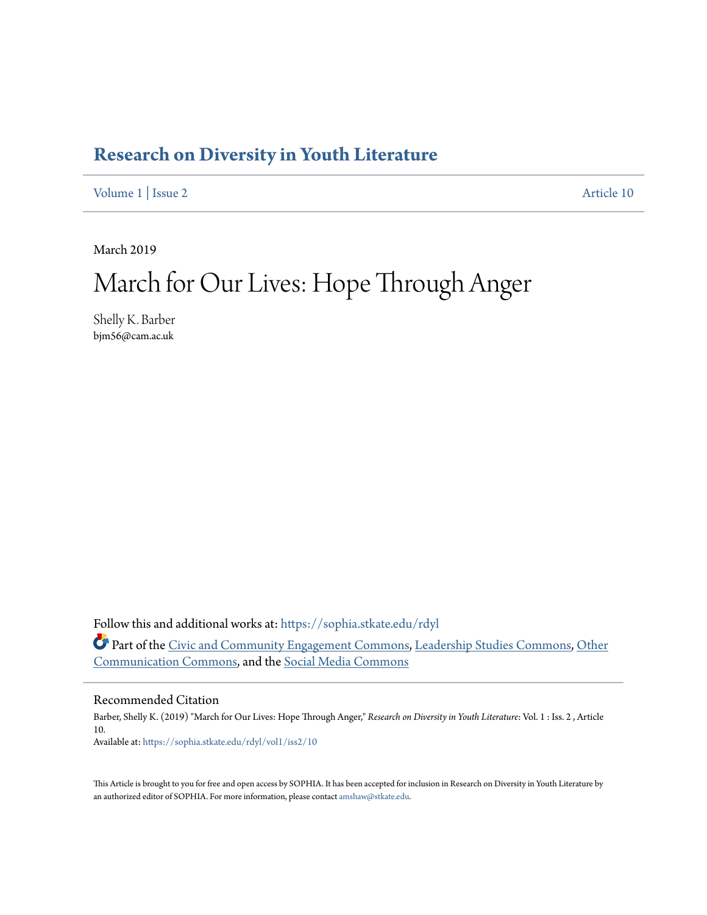## **[Research on Diversity in Youth Literature](https://sophia.stkate.edu/rdyl?utm_source=sophia.stkate.edu%2Frdyl%2Fvol1%2Fiss2%2F10&utm_medium=PDF&utm_campaign=PDFCoverPages)**

[Volume 1](https://sophia.stkate.edu/rdyl/vol1?utm_source=sophia.stkate.edu%2Frdyl%2Fvol1%2Fiss2%2F10&utm_medium=PDF&utm_campaign=PDFCoverPages) | [Issue 2](https://sophia.stkate.edu/rdyl/vol1/iss2?utm_source=sophia.stkate.edu%2Frdyl%2Fvol1%2Fiss2%2F10&utm_medium=PDF&utm_campaign=PDFCoverPages) [Article 10](https://sophia.stkate.edu/rdyl/vol1/iss2/10?utm_source=sophia.stkate.edu%2Frdyl%2Fvol1%2Fiss2%2F10&utm_medium=PDF&utm_campaign=PDFCoverPages)

March 2019

## March for Our Lives: Hope Through Anger

Shelly K. Barber bjm56@cam.ac.uk

Follow this and additional works at: [https://sophia.stkate.edu/rdyl](https://sophia.stkate.edu/rdyl?utm_source=sophia.stkate.edu%2Frdyl%2Fvol1%2Fiss2%2F10&utm_medium=PDF&utm_campaign=PDFCoverPages) Part of the [Civic and Community Engagement Commons,](http://network.bepress.com/hgg/discipline/1028?utm_source=sophia.stkate.edu%2Frdyl%2Fvol1%2Fiss2%2F10&utm_medium=PDF&utm_campaign=PDFCoverPages) [Leadership Studies Commons,](http://network.bepress.com/hgg/discipline/1250?utm_source=sophia.stkate.edu%2Frdyl%2Fvol1%2Fiss2%2F10&utm_medium=PDF&utm_campaign=PDFCoverPages) [Other](http://network.bepress.com/hgg/discipline/339?utm_source=sophia.stkate.edu%2Frdyl%2Fvol1%2Fiss2%2F10&utm_medium=PDF&utm_campaign=PDFCoverPages) [Communication Commons,](http://network.bepress.com/hgg/discipline/339?utm_source=sophia.stkate.edu%2Frdyl%2Fvol1%2Fiss2%2F10&utm_medium=PDF&utm_campaign=PDFCoverPages) and the [Social Media Commons](http://network.bepress.com/hgg/discipline/1249?utm_source=sophia.stkate.edu%2Frdyl%2Fvol1%2Fiss2%2F10&utm_medium=PDF&utm_campaign=PDFCoverPages)

Recommended Citation

Barber, Shelly K. (2019) "March for Our Lives: Hope Through Anger," *Research on Diversity in Youth Literature*: Vol. 1 : Iss. 2 , Article 10. Available at: [https://sophia.stkate.edu/rdyl/vol1/iss2/10](https://sophia.stkate.edu/rdyl/vol1/iss2/10?utm_source=sophia.stkate.edu%2Frdyl%2Fvol1%2Fiss2%2F10&utm_medium=PDF&utm_campaign=PDFCoverPages)

This Article is brought to you for free and open access by SOPHIA. It has been accepted for inclusion in Research on Diversity in Youth Literature by an authorized editor of SOPHIA. For more information, please contact [amshaw@stkate.edu.](mailto:amshaw@stkate.edu)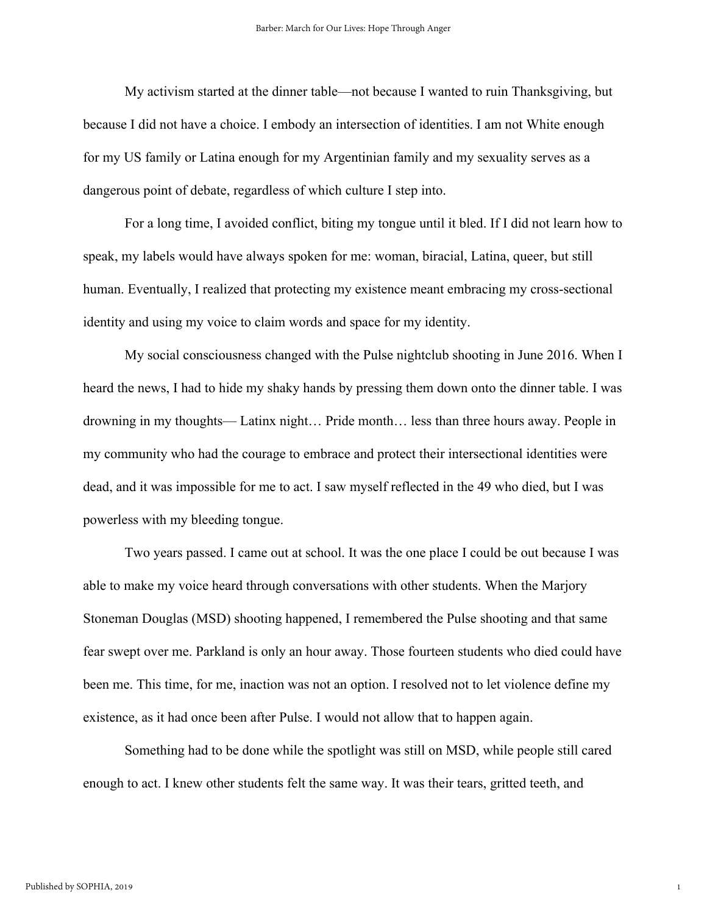My activism started at the dinner table—not because I wanted to ruin Thanksgiving, but because I did not have a choice. I embody an intersection of identities. I am not White enough for my US family or Latina enough for my Argentinian family and my sexuality serves as a dangerous point of debate, regardless of which culture I step into.

For a long time, I avoided conflict, biting my tongue until it bled. If I did not learn how to speak, my labels would have always spoken for me: woman, biracial, Latina, queer, but still human. Eventually, I realized that protecting my existence meant embracing my cross-sectional identity and using my voice to claim words and space for my identity.

My social consciousness changed with the Pulse nightclub shooting in June 2016. When I heard the news, I had to hide my shaky hands by pressing them down onto the dinner table. I was drowning in my thoughts— Latinx night… Pride month… less than three hours away. People in my community who had the courage to embrace and protect their intersectional identities were dead, and it was impossible for me to act. I saw myself reflected in the 49 who died, but I was powerless with my bleeding tongue.

Two years passed. I came out at school. It was the one place I could be out because I was able to make my voice heard through conversations with other students. When the Marjory Stoneman Douglas (MSD) shooting happened, I remembered the Pulse shooting and that same fear swept over me. Parkland is only an hour away. Those fourteen students who died could have been me. This time, for me, inaction was not an option. I resolved not to let violence define my existence, as it had once been after Pulse. I would not allow that to happen again.

Something had to be done while the spotlight was still on MSD, while people still cared enough to act. I knew other students felt the same way. It was their tears, gritted teeth, and

1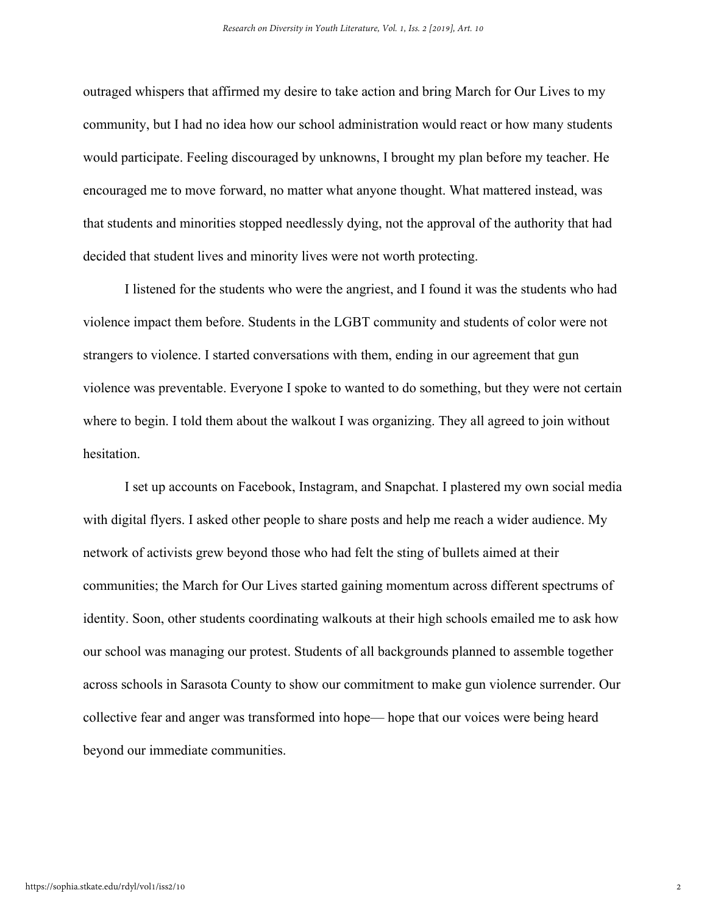outraged whispers that affirmed my desire to take action and bring March for Our Lives to my community, but I had no idea how our school administration would react or how many students would participate. Feeling discouraged by unknowns, I brought my plan before my teacher. He encouraged me to move forward, no matter what anyone thought. What mattered instead, was that students and minorities stopped needlessly dying, not the approval of the authority that had decided that student lives and minority lives were not worth protecting.

I listened for the students who were the angriest, and I found it was the students who had violence impact them before. Students in the LGBT community and students of color were not strangers to violence. I started conversations with them, ending in our agreement that gun violence was preventable. Everyone I spoke to wanted to do something, but they were not certain where to begin. I told them about the walkout I was organizing. They all agreed to join without hesitation.

I set up accounts on Facebook, Instagram, and Snapchat. I plastered my own social media with digital flyers. I asked other people to share posts and help me reach a wider audience. My network of activists grew beyond those who had felt the sting of bullets aimed at their communities; the March for Our Lives started gaining momentum across different spectrums of identity. Soon, other students coordinating walkouts at their high schools emailed me to ask how our school was managing our protest. Students of all backgrounds planned to assemble together across schools in Sarasota County to show our commitment to make gun violence surrender. Our collective fear and anger was transformed into hope— hope that our voices were being heard beyond our immediate communities.

2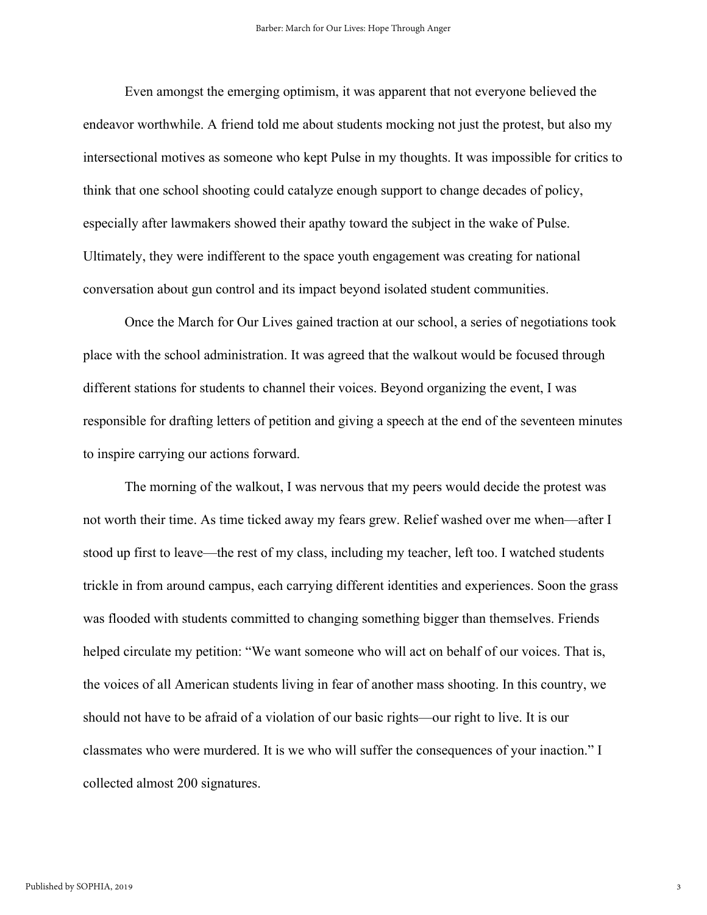Even amongst the emerging optimism, it was apparent that not everyone believed the endeavor worthwhile. A friend told me about students mocking not just the protest, but also my intersectional motives as someone who kept Pulse in my thoughts. It was impossible for critics to think that one school shooting could catalyze enough support to change decades of policy, especially after lawmakers showed their apathy toward the subject in the wake of Pulse. Ultimately, they were indifferent to the space youth engagement was creating for national conversation about gun control and its impact beyond isolated student communities.

Once the March for Our Lives gained traction at our school, a series of negotiations took place with the school administration. It was agreed that the walkout would be focused through different stations for students to channel their voices. Beyond organizing the event, I was responsible for drafting letters of petition and giving a speech at the end of the seventeen minutes to inspire carrying our actions forward.

The morning of the walkout, I was nervous that my peers would decide the protest was not worth their time. As time ticked away my fears grew. Relief washed over me when—after I stood up first to leave—the rest of my class, including my teacher, left too. I watched students trickle in from around campus, each carrying different identities and experiences. Soon the grass was flooded with students committed to changing something bigger than themselves. Friends helped circulate my petition: "We want someone who will act on behalf of our voices. That is, the voices of all American students living in fear of another mass shooting. In this country, we should not have to be afraid of a violation of our basic rights—our right to live. It is our classmates who were murdered. It is we who will suffer the consequences of your inaction." I collected almost 200 signatures.

3